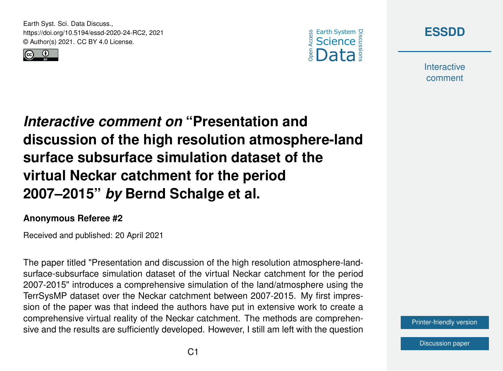Earth Syst. Sci. Data Discuss., https://doi.org/10.5194/essd-2020-24-RC2, 2021 © Author(s) 2021. CC BY 4.0 License.







**Interactive** comment

*Interactive comment on* **"Presentation and discussion of the high resolution atmosphere-land surface subsurface simulation dataset of the virtual Neckar catchment for the period 2007–2015"** *by* **Bernd Schalge et al.**

## **Anonymous Referee #2**

Received and published: 20 April 2021

The paper titled "Presentation and discussion of the high resolution atmosphere-landsurface-subsurface simulation dataset of the virtual Neckar catchment for the period 2007-2015" introduces a comprehensive simulation of the land/atmosphere using the TerrSysMP dataset over the Neckar catchment between 2007-2015. My first impression of the paper was that indeed the authors have put in extensive work to create a comprehensive virtual reality of the Neckar catchment. The methods are comprehensive and the results are sufficiently developed. However, I still am left with the question

[Printer-friendly version](https://essd.copernicus.org/preprints/essd-2020-24/essd-2020-24-RC2-print.pdf)

[Discussion paper](https://essd.copernicus.org/preprints/essd-2020-24)